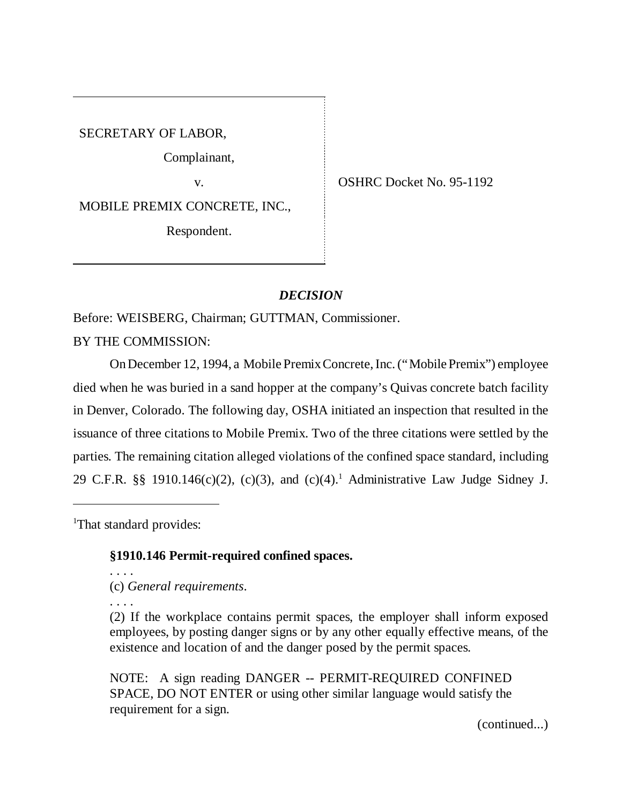SECRETARY OF LABOR,

Complainant,

MOBILE PREMIX CONCRETE, INC.,

Respondent.

v. COSHRC Docket No. 95-1192

## *DECISION*

Before: WEISBERG, Chairman; GUTTMAN, Commissioner.

BY THE COMMISSION:

On December 12, 1994, a Mobile Premix Concrete, Inc. ("Mobile Premix") employee died when he was buried in a sand hopper at the company's Quivas concrete batch facility in Denver, Colorado. The following day, OSHA initiated an inspection that resulted in the issuance of three citations to Mobile Premix. Two of the three citations were settled by the parties. The remaining citation alleged violations of the confined space standard, including 29 C.F.R. §§ 1910.146 $(c)(2)$ ,  $(c)(3)$ , and  $(c)(4)$ .<sup>1</sup> Administrative Law Judge Sidney J.

<sup>1</sup>That standard provides:

### **§1910.146 Permit-required confined spaces.**

. . . . (c) *General requirements*.

. . . .

(2) If the workplace contains permit spaces, the employer shall inform exposed employees, by posting danger signs or by any other equally effective means, of the existence and location of and the danger posed by the permit spaces.

NOTE: A sign reading DANGER -- PERMIT-REQUIRED CONFINED SPACE, DO NOT ENTER or using other similar language would satisfy the requirement for a sign.

(continued...)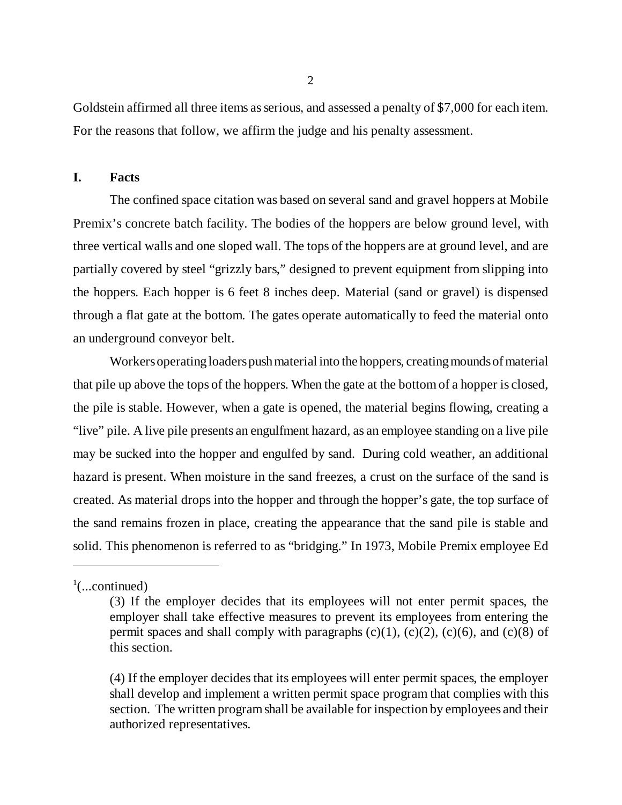Goldstein affirmed all three items as serious, and assessed a penalty of \$7,000 for each item. For the reasons that follow, we affirm the judge and his penalty assessment.

### **I. Facts**

The confined space citation was based on several sand and gravel hoppers at Mobile Premix's concrete batch facility. The bodies of the hoppers are below ground level, with three vertical walls and one sloped wall. The tops of the hoppers are at ground level, and are partially covered by steel "grizzly bars," designed to prevent equipment from slipping into the hoppers. Each hopper is 6 feet 8 inches deep. Material (sand or gravel) is dispensed through a flat gate at the bottom. The gates operate automatically to feed the material onto an underground conveyor belt.

Workers operating loaders push material into the hoppers, creating mounds of material that pile up above the tops of the hoppers. When the gate at the bottom of a hopper is closed, the pile is stable. However, when a gate is opened, the material begins flowing, creating a "live" pile. A live pile presents an engulfment hazard, as an employee standing on a live pile may be sucked into the hopper and engulfed by sand. During cold weather, an additional hazard is present. When moisture in the sand freezes, a crust on the surface of the sand is created. As material drops into the hopper and through the hopper's gate, the top surface of the sand remains frozen in place, creating the appearance that the sand pile is stable and solid. This phenomenon is referred to as "bridging." In 1973, Mobile Premix employee Ed

 $\frac{1}{2}$ (...continued)

<sup>(3)</sup> If the employer decides that its employees will not enter permit spaces, the employer shall take effective measures to prevent its employees from entering the permit spaces and shall comply with paragraphs  $(c)(1)$ ,  $(c)(2)$ ,  $(c)(6)$ , and  $(c)(8)$  of this section.

<sup>(4)</sup> If the employer decides that its employees will enter permit spaces, the employer shall develop and implement a written permit space program that complies with this section. The written program shall be available for inspection by employees and their authorized representatives.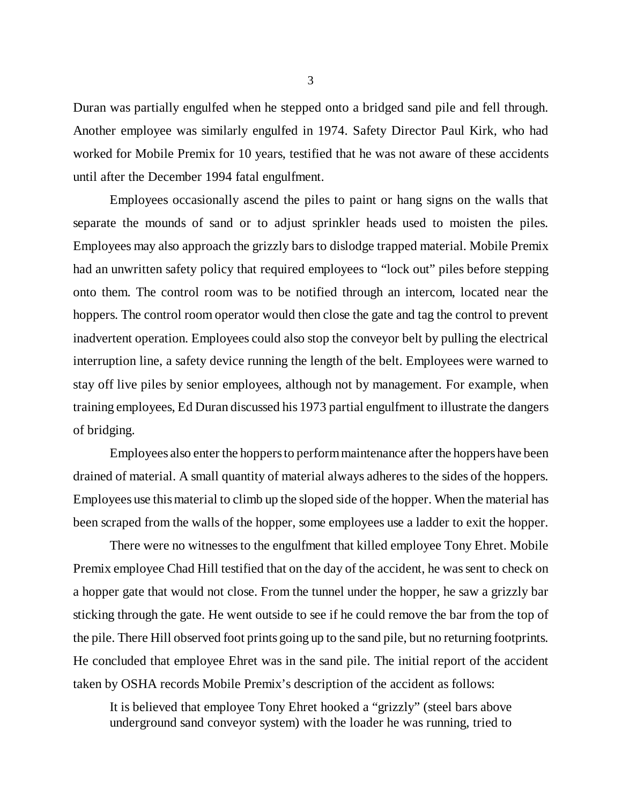Duran was partially engulfed when he stepped onto a bridged sand pile and fell through. Another employee was similarly engulfed in 1974. Safety Director Paul Kirk, who had worked for Mobile Premix for 10 years, testified that he was not aware of these accidents until after the December 1994 fatal engulfment.

Employees occasionally ascend the piles to paint or hang signs on the walls that separate the mounds of sand or to adjust sprinkler heads used to moisten the piles. Employees may also approach the grizzly bars to dislodge trapped material. Mobile Premix had an unwritten safety policy that required employees to "lock out" piles before stepping onto them. The control room was to be notified through an intercom, located near the hoppers. The control room operator would then close the gate and tag the control to prevent inadvertent operation. Employees could also stop the conveyor belt by pulling the electrical interruption line, a safety device running the length of the belt. Employees were warned to stay off live piles by senior employees, although not by management. For example, when training employees, Ed Duran discussed his 1973 partial engulfment to illustrate the dangers of bridging.

Employees also enter the hoppers to perform maintenance after the hoppers have been drained of material. A small quantity of material always adheres to the sides of the hoppers. Employees use this material to climb up the sloped side of the hopper. When the material has been scraped from the walls of the hopper, some employees use a ladder to exit the hopper.

There were no witnesses to the engulfment that killed employee Tony Ehret. Mobile Premix employee Chad Hill testified that on the day of the accident, he was sent to check on a hopper gate that would not close. From the tunnel under the hopper, he saw a grizzly bar sticking through the gate. He went outside to see if he could remove the bar from the top of the pile. There Hill observed foot prints going up to the sand pile, but no returning footprints. He concluded that employee Ehret was in the sand pile. The initial report of the accident taken by OSHA records Mobile Premix's description of the accident as follows:

It is believed that employee Tony Ehret hooked a "grizzly" (steel bars above underground sand conveyor system) with the loader he was running, tried to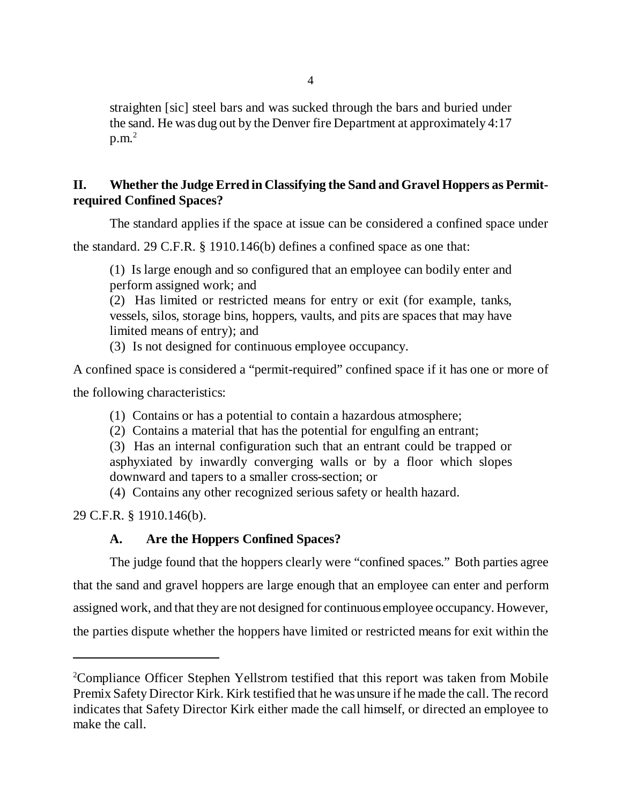straighten [sic] steel bars and was sucked through the bars and buried under the sand. He was dug out by the Denver fire Department at approximately 4:17  $p.m.<sup>2</sup>$ 

# **II. Whether the Judge Erred in Classifying the Sand and Gravel Hoppers as Permitrequired Confined Spaces?**

The standard applies if the space at issue can be considered a confined space under

the standard. 29 C.F.R. § 1910.146(b) defines a confined space as one that:

(1) Is large enough and so configured that an employee can bodily enter and perform assigned work; and

(2) Has limited or restricted means for entry or exit (for example, tanks, vessels, silos, storage bins, hoppers, vaults, and pits are spaces that may have limited means of entry); and

(3) Is not designed for continuous employee occupancy.

A confined space is considered a "permit-required" confined space if it has one or more of

the following characteristics:

(1) Contains or has a potential to contain a hazardous atmosphere;

(2) Contains a material that has the potential for engulfing an entrant;

(3) Has an internal configuration such that an entrant could be trapped or asphyxiated by inwardly converging walls or by a floor which slopes downward and tapers to a smaller cross-section; or

(4) Contains any other recognized serious safety or health hazard.

29 C.F.R. § 1910.146(b).

# **A. Are the Hoppers Confined Spaces?**

The judge found that the hoppers clearly were "confined spaces." Both parties agree that the sand and gravel hoppers are large enough that an employee can enter and perform assigned work, and that they are not designed for continuous employee occupancy. However, the parties dispute whether the hoppers have limited or restricted means for exit within the

<sup>&</sup>lt;sup>2</sup>Compliance Officer Stephen Yellstrom testified that this report was taken from Mobile Premix Safety Director Kirk. Kirk testified that he was unsure if he made the call. The record indicates that Safety Director Kirk either made the call himself, or directed an employee to make the call.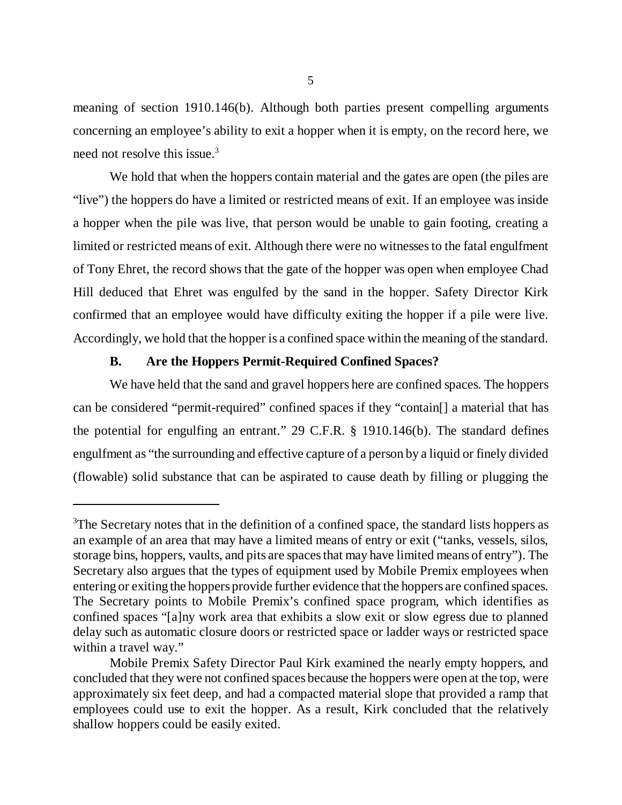meaning of section 1910.146(b). Although both parties present compelling arguments concerning an employee's ability to exit a hopper when it is empty, on the record here, we need not resolve this issue.<sup>3</sup>

We hold that when the hoppers contain material and the gates are open (the piles are "live") the hoppers do have a limited or restricted means of exit. If an employee was inside a hopper when the pile was live, that person would be unable to gain footing, creating a limited or restricted means of exit. Although there were no witnesses to the fatal engulfment of Tony Ehret, the record shows that the gate of the hopper was open when employee Chad Hill deduced that Ehret was engulfed by the sand in the hopper. Safety Director Kirk confirmed that an employee would have difficulty exiting the hopper if a pile were live. Accordingly, we hold that the hopper is a confined space within the meaning of the standard.

#### **B. Are the Hoppers Permit-Required Confined Spaces?**

We have held that the sand and gravel hoppers here are confined spaces. The hoppers can be considered "permit-required" confined spaces if they "contain[] a material that has the potential for engulfing an entrant." 29 C.F.R. § 1910.146(b). The standard defines engulfment as "the surrounding and effective capture of a person by a liquid or finely divided (flowable) solid substance that can be aspirated to cause death by filling or plugging the

<sup>&</sup>lt;sup>3</sup>The Secretary notes that in the definition of a confined space, the standard lists hoppers as an example of an area that may have a limited means of entry or exit ("tanks, vessels, silos, storage bins, hoppers, vaults, and pits are spaces that may have limited means of entry"). The Secretary also argues that the types of equipment used by Mobile Premix employees when entering or exiting the hoppers provide further evidence that the hoppers are confined spaces. The Secretary points to Mobile Premix's confined space program, which identifies as confined spaces "[a]ny work area that exhibits a slow exit or slow egress due to planned delay such as automatic closure doors or restricted space or ladder ways or restricted space within a travel way."

Mobile Premix Safety Director Paul Kirk examined the nearly empty hoppers, and concluded that they were not confined spaces because the hoppers were open at the top, were approximately six feet deep, and had a compacted material slope that provided a ramp that employees could use to exit the hopper. As a result, Kirk concluded that the relatively shallow hoppers could be easily exited.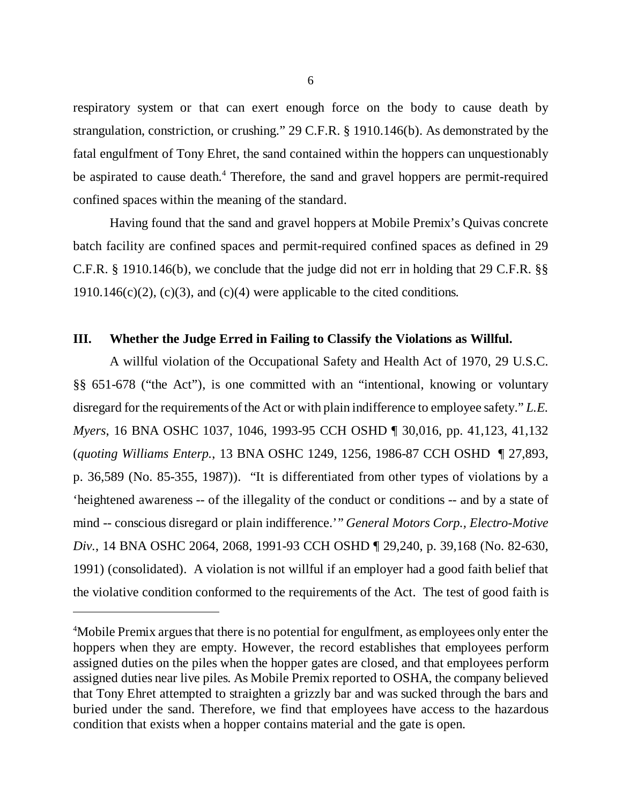respiratory system or that can exert enough force on the body to cause death by strangulation, constriction, or crushing." 29 C.F.R. § 1910.146(b). As demonstrated by the fatal engulfment of Tony Ehret, the sand contained within the hoppers can unquestionably be aspirated to cause death.<sup>4</sup> Therefore, the sand and gravel hoppers are permit-required confined spaces within the meaning of the standard.

Having found that the sand and gravel hoppers at Mobile Premix's Quivas concrete batch facility are confined spaces and permit-required confined spaces as defined in 29 C.F.R. § 1910.146(b), we conclude that the judge did not err in holding that 29 C.F.R. §§ 1910.146(c)(2), (c)(3), and (c)(4) were applicable to the cited conditions.

#### **III. Whether the Judge Erred in Failing to Classify the Violations as Willful.**

A willful violation of the Occupational Safety and Health Act of 1970, 29 U.S.C. §§ 651-678 ("the Act"), is one committed with an "intentional, knowing or voluntary disregard for the requirements of the Act or with plain indifference to employee safety." *L.E. Myers*, 16 BNA OSHC 1037, 1046, 1993-95 CCH OSHD ¶ 30,016, pp. 41,123, 41,132 (*quoting Williams Enterp.*, 13 BNA OSHC 1249, 1256, 1986-87 CCH OSHD ¶ 27,893, p. 36,589 (No. 85-355, 1987)). "It is differentiated from other types of violations by a 'heightened awareness -- of the illegality of the conduct or conditions -- and by a state of mind -- conscious disregard or plain indifference.'" *General Motors Corp., Electro-Motive Div.*, 14 BNA OSHC 2064, 2068, 1991-93 CCH OSHD ¶ 29,240, p. 39,168 (No. 82-630, 1991) (consolidated). A violation is not willful if an employer had a good faith belief that the violative condition conformed to the requirements of the Act. The test of good faith is

<sup>&</sup>lt;sup>4</sup>Mobile Premix argues that there is no potential for engulfment, as employees only enter the hoppers when they are empty. However, the record establishes that employees perform assigned duties on the piles when the hopper gates are closed, and that employees perform assigned duties near live piles. As Mobile Premix reported to OSHA, the company believed that Tony Ehret attempted to straighten a grizzly bar and was sucked through the bars and buried under the sand. Therefore, we find that employees have access to the hazardous condition that exists when a hopper contains material and the gate is open.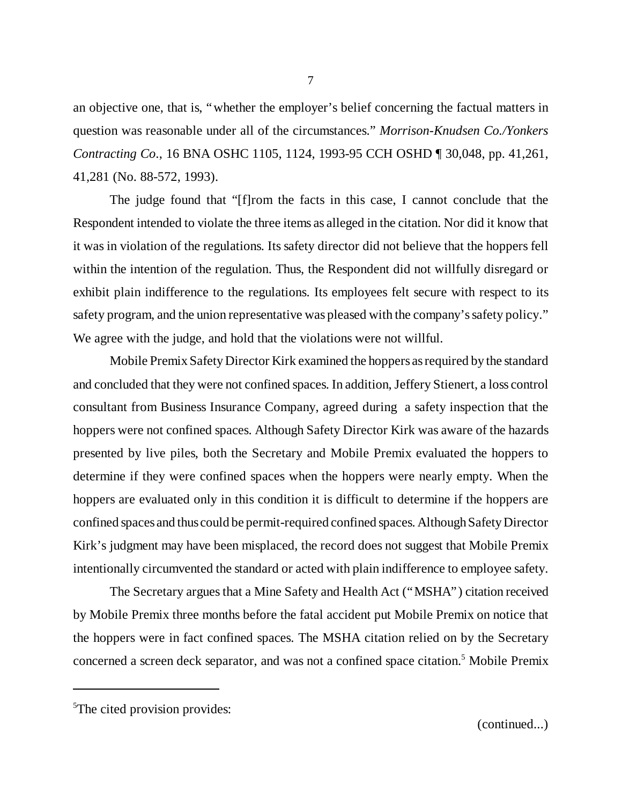an objective one, that is, "whether the employer's belief concerning the factual matters in question was reasonable under all of the circumstances." *Morrison-Knudsen Co./Yonkers Contracting Co*., 16 BNA OSHC 1105, 1124, 1993-95 CCH OSHD ¶ 30,048, pp. 41,261, 41,281 (No. 88-572, 1993).

The judge found that "[f]rom the facts in this case, I cannot conclude that the Respondent intended to violate the three items as alleged in the citation. Nor did it know that it was in violation of the regulations. Its safety director did not believe that the hoppers fell within the intention of the regulation. Thus, the Respondent did not willfully disregard or exhibit plain indifference to the regulations. Its employees felt secure with respect to its safety program, and the union representative was pleased with the company's safety policy." We agree with the judge, and hold that the violations were not willful.

Mobile Premix Safety Director Kirk examined the hoppers as required by the standard and concluded that they were not confined spaces. In addition, Jeffery Stienert, a loss control consultant from Business Insurance Company, agreed during a safety inspection that the hoppers were not confined spaces. Although Safety Director Kirk was aware of the hazards presented by live piles, both the Secretary and Mobile Premix evaluated the hoppers to determine if they were confined spaces when the hoppers were nearly empty. When the hoppers are evaluated only in this condition it is difficult to determine if the hoppers are confined spaces and thus could be permit-required confined spaces. Although Safety Director Kirk's judgment may have been misplaced, the record does not suggest that Mobile Premix intentionally circumvented the standard or acted with plain indifference to employee safety.

The Secretary argues that a Mine Safety and Health Act ("MSHA") citation received by Mobile Premix three months before the fatal accident put Mobile Premix on notice that the hoppers were in fact confined spaces. The MSHA citation relied on by the Secretary concerned a screen deck separator, and was not a confined space citation.<sup>5</sup> Mobile Premix

<sup>5</sup>The cited provision provides: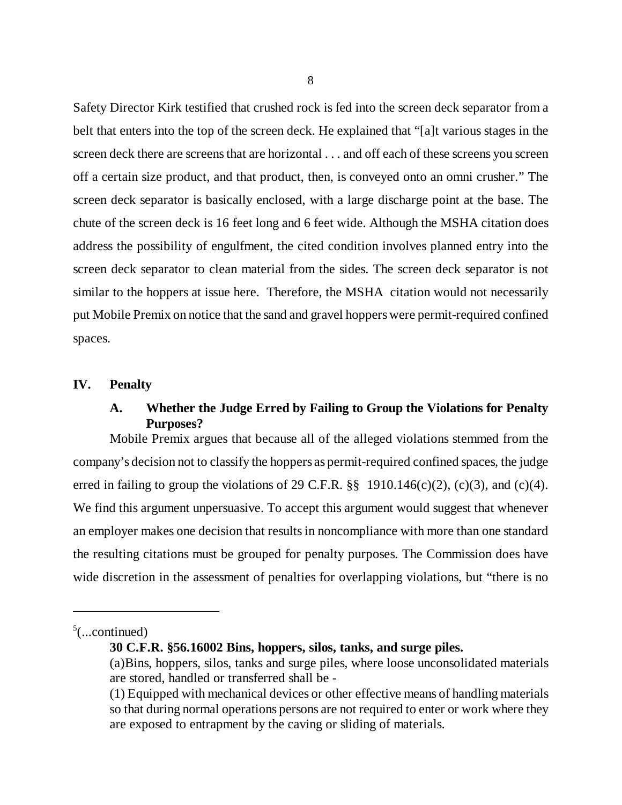Safety Director Kirk testified that crushed rock is fed into the screen deck separator from a belt that enters into the top of the screen deck. He explained that "[a]t various stages in the screen deck there are screens that are horizontal . . . and off each of these screens you screen off a certain size product, and that product, then, is conveyed onto an omni crusher." The screen deck separator is basically enclosed, with a large discharge point at the base. The chute of the screen deck is 16 feet long and 6 feet wide. Although the MSHA citation does address the possibility of engulfment, the cited condition involves planned entry into the screen deck separator to clean material from the sides. The screen deck separator is not similar to the hoppers at issue here. Therefore, the MSHA citation would not necessarily put Mobile Premix on notice that the sand and gravel hoppers were permit-required confined spaces.

#### **IV. Penalty**

# **A. Whether the Judge Erred by Failing to Group the Violations for Penalty Purposes?**

Mobile Premix argues that because all of the alleged violations stemmed from the company's decision not to classify the hoppers as permit-required confined spaces, the judge erred in failing to group the violations of 29 C.F.R.  $\S$  1910.146(c)(2), (c)(3), and (c)(4). We find this argument unpersuasive. To accept this argument would suggest that whenever an employer makes one decision that results in noncompliance with more than one standard the resulting citations must be grouped for penalty purposes. The Commission does have wide discretion in the assessment of penalties for overlapping violations, but "there is no

 $5$ (...continued)

**<sup>30</sup> C.F.R. §56.16002 Bins, hoppers, silos, tanks, and surge piles.**

<sup>(</sup>a)Bins, hoppers, silos, tanks and surge piles, where loose unconsolidated materials are stored, handled or transferred shall be -

<sup>(1)</sup> Equipped with mechanical devices or other effective means of handling materials so that during normal operations persons are not required to enter or work where they are exposed to entrapment by the caving or sliding of materials.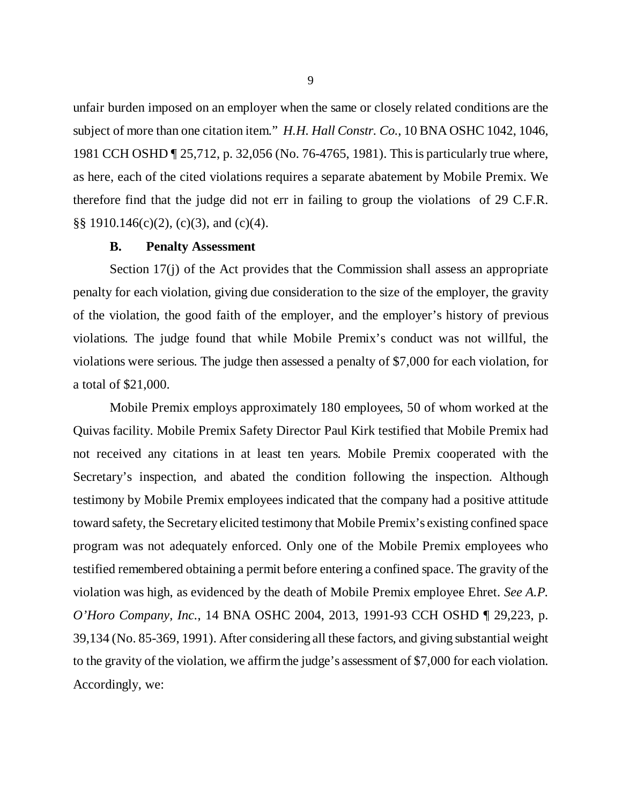unfair burden imposed on an employer when the same or closely related conditions are the subject of more than one citation item." *H.H. Hall Constr. Co.*, 10 BNA OSHC 1042, 1046, 1981 CCH OSHD ¶ 25,712, p. 32,056 (No. 76-4765, 1981). This is particularly true where, as here, each of the cited violations requires a separate abatement by Mobile Premix. We therefore find that the judge did not err in failing to group the violations of 29 C.F.R. §§ 1910.146(c)(2), (c)(3), and (c)(4).

### **B. Penalty Assessment**

Section 17(j) of the Act provides that the Commission shall assess an appropriate penalty for each violation, giving due consideration to the size of the employer, the gravity of the violation, the good faith of the employer, and the employer's history of previous violations. The judge found that while Mobile Premix's conduct was not willful, the violations were serious. The judge then assessed a penalty of \$7,000 for each violation, for a total of \$21,000.

Mobile Premix employs approximately 180 employees, 50 of whom worked at the Quivas facility. Mobile Premix Safety Director Paul Kirk testified that Mobile Premix had not received any citations in at least ten years. Mobile Premix cooperated with the Secretary's inspection, and abated the condition following the inspection. Although testimony by Mobile Premix employees indicated that the company had a positive attitude toward safety, the Secretary elicited testimony that Mobile Premix's existing confined space program was not adequately enforced. Only one of the Mobile Premix employees who testified remembered obtaining a permit before entering a confined space. The gravity of the violation was high, as evidenced by the death of Mobile Premix employee Ehret. *See A.P. O'Horo Company, Inc.*, 14 BNA OSHC 2004, 2013, 1991-93 CCH OSHD ¶ 29,223, p. 39,134 (No. 85-369, 1991). After considering all these factors, and giving substantial weight to the gravity of the violation, we affirm the judge's assessment of \$7,000 for each violation. Accordingly, we: